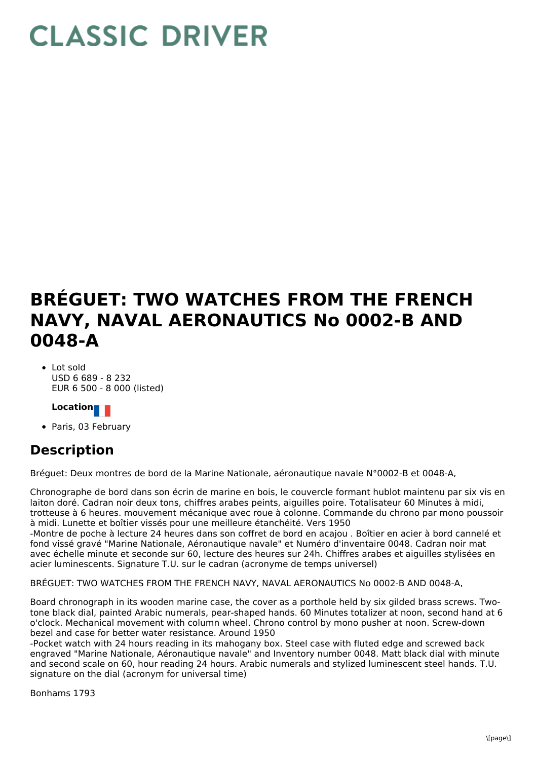## **CLASSIC DRIVER**

## **BRÉGUET: TWO WATCHES FROM THE FRENCH NAVY, NAVAL AERONAUTICS No 0002-B AND 0048-A**

• Lot sold USD 6 689 - 8 232 EUR 6 500 - 8 000 (listed)

## **Location**

• Paris, 03 February

## **Description**

Bréguet: Deux montres de bord de la Marine Nationale, aéronautique navale N°0002-B et 0048-A,

Chronographe de bord dans son écrin de marine en bois, le couvercle formant hublot maintenu par six vis en laiton doré. Cadran noir deux tons, chiffres arabes peints, aiguilles poire. Totalisateur 60 Minutes à midi, trotteuse à 6 heures. mouvement mécanique avec roue à colonne. Commande du chrono par mono poussoir à midi. Lunette et boîtier vissés pour une meilleure étanchéité. Vers 1950

-Montre de poche à lecture 24 heures dans son coffret de bord en acajou . Boîtier en acier à bord cannelé et fond vissé gravé "Marine Nationale, Aéronautique navale" et Numéro d'inventaire 0048. Cadran noir mat avec échelle minute et seconde sur 60, lecture des heures sur 24h. Chiffres arabes et aiguilles stylisées en acier luminescents. Signature T.U. sur le cadran (acronyme de temps universel)

BRÉGUET: TWO WATCHES FROM THE FRENCH NAVY, NAVAL AERONAUTICS No 0002-B AND 0048-A,

Board chronograph in its wooden marine case, the cover as a porthole held by six gilded brass screws. Twotone black dial, painted Arabic numerals, pear-shaped hands. 60 Minutes totalizer at noon, second hand at 6 o'clock. Mechanical movement with column wheel. Chrono control by mono pusher at noon. Screw-down bezel and case for better water resistance. Around 1950

-Pocket watch with 24 hours reading in its mahogany box. Steel case with fluted edge and screwed back engraved "Marine Nationale, Aéronautique navale" and Inventory number 0048. Matt black dial with minute and second scale on 60, hour reading 24 hours. Arabic numerals and stylized luminescent steel hands. T.U. signature on the dial (acronym for universal time)

Bonhams 1793